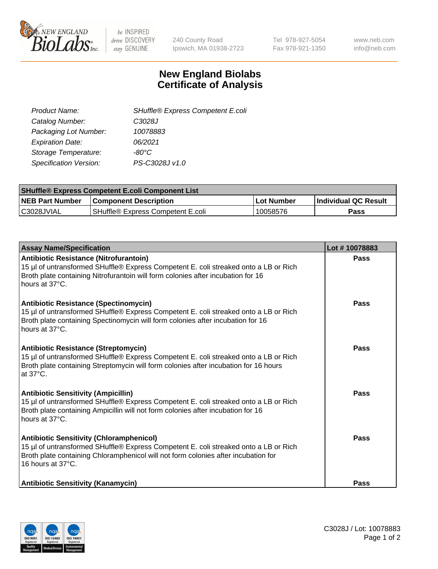

be INSPIRED drive DISCOVERY stay GENUINE

240 County Road Ipswich, MA 01938-2723 Tel 978-927-5054 Fax 978-921-1350 www.neb.com info@neb.com

## **New England Biolabs Certificate of Analysis**

| SHuffle® Express Competent E.coli |
|-----------------------------------|
| C3028J                            |
| 10078883                          |
| 06/2021                           |
| -80°C                             |
| PS-C3028J v1.0                    |
|                                   |

| <b>SHuffle® Express Competent E.coli Component List</b> |                                   |                   |                             |  |
|---------------------------------------------------------|-----------------------------------|-------------------|-----------------------------|--|
| <b>NEB Part Number</b>                                  | <b>Component Description</b>      | <b>Lot Number</b> | <b>Individual QC Result</b> |  |
| C3028JVIAL                                              | SHuffle® Express Competent E.coli | 10058576          | Pass                        |  |

| <b>Assay Name/Specification</b>                                                                                                                                                                                                                    | Lot #10078883 |
|----------------------------------------------------------------------------------------------------------------------------------------------------------------------------------------------------------------------------------------------------|---------------|
| Antibiotic Resistance (Nitrofurantoin)<br>15 µl of untransformed SHuffle® Express Competent E. coli streaked onto a LB or Rich<br>Broth plate containing Nitrofurantoin will form colonies after incubation for 16<br>hours at 37°C.               | <b>Pass</b>   |
| <b>Antibiotic Resistance (Spectinomycin)</b><br>15 µl of untransformed SHuffle® Express Competent E. coli streaked onto a LB or Rich<br>Broth plate containing Spectinomycin will form colonies after incubation for 16<br>hours at 37°C.          | Pass          |
| <b>Antibiotic Resistance (Streptomycin)</b><br>15 µl of untransformed SHuffle® Express Competent E. coli streaked onto a LB or Rich<br>Broth plate containing Streptomycin will form colonies after incubation for 16 hours<br>at 37°C.            | Pass          |
| <b>Antibiotic Sensitivity (Ampicillin)</b><br>15 µl of untransformed SHuffle® Express Competent E. coli streaked onto a LB or Rich<br>Broth plate containing Ampicillin will not form colonies after incubation for 16<br>hours at 37°C.           | Pass          |
| <b>Antibiotic Sensitivity (Chloramphenicol)</b><br>15 µl of untransformed SHuffle® Express Competent E. coli streaked onto a LB or Rich<br>Broth plate containing Chloramphenicol will not form colonies after incubation for<br>16 hours at 37°C. | Pass          |
| <b>Antibiotic Sensitivity (Kanamycin)</b>                                                                                                                                                                                                          | Pass          |